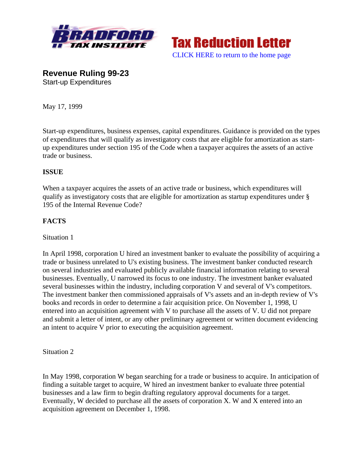



**Revenue Ruling 99-23**  Start-up Expenditures

May 17, 1999

Start-up expenditures, business expenses, capital expenditures. Guidance is provided on the types of expenditures that will qualify as investigatory costs that are eligible for amortization as startup expenditures under section 195 of the Code when a taxpayer acquires the assets of an active trade or business.

### **ISSUE**

When a taxpayer acquires the assets of an active trade or business, which expenditures will qualify as investigatory costs that are eligible for amortization as startup expenditures under § 195 of the Internal Revenue Code?

### **FACTS**

#### Situation 1

In April 1998, corporation U hired an investment banker to evaluate the possibility of acquiring a trade or business unrelated to U's existing business. The investment banker conducted research on several industries and evaluated publicly available financial information relating to several businesses. Eventually, U narrowed its focus to one industry. The investment banker evaluated several businesses within the industry, including corporation V and several of V's competitors. The investment banker then commissioned appraisals of V's assets and an in-depth review of V's books and records in order to determine a fair acquisition price. On November 1, 1998, U entered into an acquisition agreement with V to purchase all the assets of V. U did not prepare and submit a letter of intent, or any other preliminary agreement or written document evidencing an intent to acquire V prior to executing the acquisition agreement.

Situation 2

In May 1998, corporation W began searching for a trade or business to acquire. In anticipation of finding a suitable target to acquire, W hired an investment banker to evaluate three potential businesses and a law firm to begin drafting regulatory approval documents for a target. Eventually, W decided to purchase all the assets of corporation X. W and X entered into an acquisition agreement on December 1, 1998.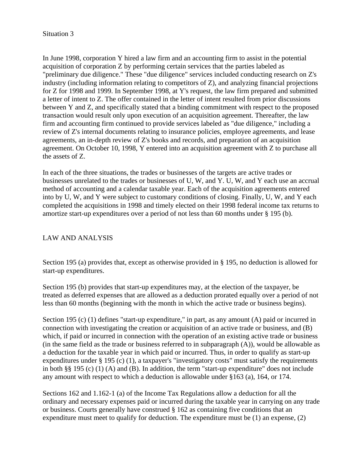#### Situation 3

In June 1998, corporation Y hired a law firm and an accounting firm to assist in the potential acquisition of corporation Z by performing certain services that the parties labeled as "preliminary due diligence." These "due diligence" services included conducting research on Z's industry (including information relating to competitors of Z), and analyzing financial projections for Z for 1998 and 1999. In September 1998, at Y's request, the law firm prepared and submitted a letter of intent to Z. The offer contained in the letter of intent resulted from prior discussions between Y and Z, and specifically stated that a binding commitment with respect to the proposed transaction would result only upon execution of an acquisition agreement. Thereafter, the law firm and accounting firm continued to provide services labeled as "due diligence," including a review of Z's internal documents relating to insurance policies, employee agreements, and lease agreements, an in-depth review of Z's books and records, and preparation of an acquisition agreement. On October 10, 1998, Y entered into an acquisition agreement with Z to purchase all the assets of Z.

In each of the three situations, the trades or businesses of the targets are active trades or businesses unrelated to the trades or businesses of U, W, and Y. U, W, and Y each use an accrual method of accounting and a calendar taxable year. Each of the acquisition agreements entered into by U, W, and Y were subject to customary conditions of closing. Finally, U, W, and Y each completed the acquisitions in 1998 and timely elected on their 1998 federal income tax returns to amortize start-up expenditures over a period of not less than 60 months under § 195 (b).

#### LAW AND ANALYSIS

Section 195 (a) provides that, except as otherwise provided in § 195, no deduction is allowed for start-up expenditures.

Section 195 (b) provides that start-up expenditures may, at the election of the taxpayer, be treated as deferred expenses that are allowed as a deduction prorated equally over a period of not less than 60 months (beginning with the month in which the active trade or business begins).

Section 195 (c) (1) defines "start-up expenditure," in part, as any amount (A) paid or incurred in connection with investigating the creation or acquisition of an active trade or business, and (B) which, if paid or incurred in connection with the operation of an existing active trade or business (in the same field as the trade or business referred to in subparagraph (A)), would be allowable as a deduction for the taxable year in which paid or incurred. Thus, in order to qualify as start-up expenditures under § 195 (c) (1), a taxpayer's "investigatory costs" must satisfy the requirements in both §§ 195 (c) (1) (A) and (B). In addition, the term "start-up expenditure" does not include any amount with respect to which a deduction is allowable under §163 (a), 164, or 174.

Sections 162 and 1.162-1 (a) of the Income Tax Regulations allow a deduction for all the ordinary and necessary expenses paid or incurred during the taxable year in carrying on any trade or business. Courts generally have construed § 162 as containing five conditions that an expenditure must meet to qualify for deduction. The expenditure must be (1) an expense, (2)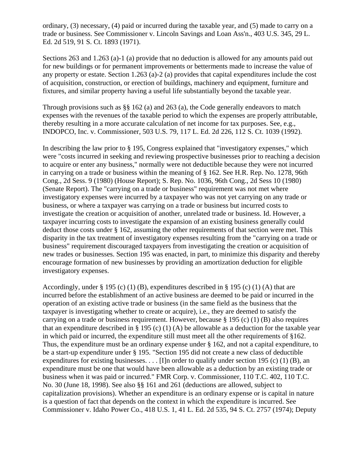ordinary, (3) necessary, (4) paid or incurred during the taxable year, and (5) made to carry on a trade or business. See Commissioner v. Lincoln Savings and Loan Ass'n., 403 U.S. 345, 29 L. Ed. 2d 519, 91 S. Ct. 1893 (1971).

Sections 263 and 1.263 (a)-1 (a) provide that no deduction is allowed for any amounts paid out for new buildings or for permanent improvements or betterments made to increase the value of any property or estate. Section 1.263 (a)-2 (a) provides that capital expenditures include the cost of acquisition, construction, or erection of buildings, machinery and equipment, furniture and fixtures, and similar property having a useful life substantially beyond the taxable year.

Through provisions such as §§ 162 (a) and 263 (a), the Code generally endeavors to match expenses with the revenues of the taxable period to which the expenses are properly attributable, thereby resulting in a more accurate calculation of net income for tax purposes. See, e.g., INDOPCO, Inc. v. Commissioner, 503 U.S. 79, 117 L. Ed. 2d 226, 112 S. Ct. 1039 (1992).

In describing the law prior to § 195, Congress explained that "investigatory expenses," which were "costs incurred in seeking and reviewing prospective businesses prior to reaching a decision to acquire or enter any business," normally were not deductible because they were not incurred in carrying on a trade or business within the meaning of § 162. See H.R. Rep. No. 1278, 96th Cong., 2d Sess. 9 (1980) (House Report); S. Rep. No. 1036, 96th Cong., 2d Sess 10 (1980) (Senate Report). The "carrying on a trade or business" requirement was not met where investigatory expenses were incurred by a taxpayer who was not yet carrying on any trade or business, or where a taxpayer was carrying on a trade or business but incurred costs to investigate the creation or acquisition of another, unrelated trade or business. Id. However, a taxpayer incurring costs to investigate the expansion of an existing business generally could deduct those costs under § 162, assuming the other requirements of that section were met. This disparity in the tax treatment of investigatory expenses resulting from the "carrying on a trade or business" requirement discouraged taxpayers from investigating the creation or acquisition of new trades or businesses. Section 195 was enacted, in part, to minimize this disparity and thereby encourage formation of new businesses by providing an amortization deduction for eligible investigatory expenses.

Accordingly, under  $\S 195$  (c) (1) (B), expenditures described in  $\S 195$  (c) (1) (A) that are incurred before the establishment of an active business are deemed to be paid or incurred in the operation of an existing active trade or business (in the same field as the business that the taxpayer is investigating whether to create or acquire), i.e., they are deemed to satisfy the carrying on a trade or business requirement. However, because § 195 (c) (1) (B) also requires that an expenditure described in  $\S 195$  (c) (1) (A) be allowable as a deduction for the taxable year in which paid or incurred, the expenditure still must meet all the other requirements of §162. Thus, the expenditure must be an ordinary expense under § 162, and not a capital expenditure, to be a start-up expenditure under § 195. "Section 195 did not create a new class of deductible expenditures for existing businesses.  $\dots$  [I]n order to qualify under section 195 (c) (1) (B), an expenditure must be one that would have been allowable as a deduction by an existing trade or business when it was paid or incurred." FMR Corp. v. Commissioner, 110 T.C. 402, 110 T.C. No. 30 (June 18, 1998). See also §§ 161 and 261 (deductions are allowed, subject to capitalization provisions). Whether an expenditure is an ordinary expense or is capital in nature is a question of fact that depends on the context in which the expenditure is incurred. See Commissioner v. Idaho Power Co., 418 U.S. 1, 41 L. Ed. 2d 535, 94 S. Ct. 2757 (1974); Deputy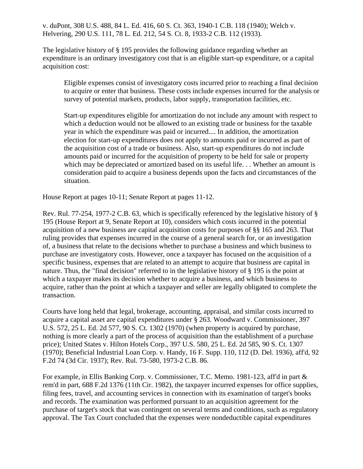v. duPont, 308 U.S. 488, 84 L. Ed. 416, 60 S. Ct. 363, 1940-1 C.B. 118 (1940); Welch v. Helvering, 290 U.S. 111, 78 L. Ed. 212, 54 S. Ct. 8, 1933-2 C.B. 112 (1933).

The legislative history of § 195 provides the following guidance regarding whether an expenditure is an ordinary investigatory cost that is an eligible start-up expenditure, or a capital acquisition cost:

Eligible expenses consist of investigatory costs incurred prior to reaching a final decision to acquire or enter that business. These costs include expenses incurred for the analysis or survey of potential markets, products, labor supply, transportation facilities, etc.

Start-up expenditures eligible for amortization do not include any amount with respect to which a deduction would not be allowed to an existing trade or business for the taxable year in which the expenditure was paid or incurred.... In addition, the amortization election for start-up expenditures does not apply to amounts paid or incurred as part of the acquisition cost of a trade or business. Also, start-up expenditures do not include amounts paid or incurred for the acquisition of property to be held for sale or property which may be depreciated or amortized based on its useful life. . . Whether an amount is consideration paid to acquire a business depends upon the facts and circumstances of the situation.

House Report at pages 10-11; Senate Report at pages 11-12.

Rev. Rul. 77-254, 1977-2 C.B. 63, which is specifically referenced by the legislative history of § 195 (House Report at 9, Senate Report at 10), considers which costs incurred in the potential acquisition of a new business are capital acquisition costs for purposes of §§ 165 and 263. That ruling provides that expenses incurred in the course of a general search for, or an investigation of, a business that relate to the decisions whether to purchase a business and which business to purchase are investigatory costs. However, once a taxpayer has focused on the acquisition of a specific business, expenses that are related to an attempt to acquire that business are capital in nature. Thus, the "final decision" referred to in the legislative history of § 195 is the point at which a taxpayer makes its decision whether to acquire a business, and which business to acquire, rather than the point at which a taxpayer and seller are legally obligated to complete the transaction.

Courts have long held that legal, brokerage, accounting, appraisal, and similar costs incurred to acquire a capital asset are capital expenditures under § 263. Woodward v. Commissioner, 397 U.S. 572, 25 L. Ed. 2d 577, 90 S. Ct. 1302 (1970) (when property is acquired by purchase, nothing is more clearly a part of the process of acquisition than the establishment of a purchase price); United States v. Hilton Hotels Corp., 397 U.S. 580, 25 L. Ed. 2d 585, 90 S. Ct. 1307 (1970); Beneficial Industrial Loan Corp. v. Handy, 16 F. Supp. 110, 112 (D. Del. 1936), aff'd, 92 F.2d 74 (3d Cir. 1937); Rev. Rul. 73-580, 1973-2 C.B. 86.

For example, in Ellis Banking Corp. v. Commissioner, T.C. Memo. 1981-123, aff'd in part & rem'd in part, 688 F.2d 1376 (11th Cir. 1982), the taxpayer incurred expenses for office supplies, filing fees, travel, and accounting services in connection with its examination of target's books and records. The examination was performed pursuant to an acquisition agreement for the purchase of target's stock that was contingent on several terms and conditions, such as regulatory approval. The Tax Court concluded that the expenses were nondeductible capital expenditures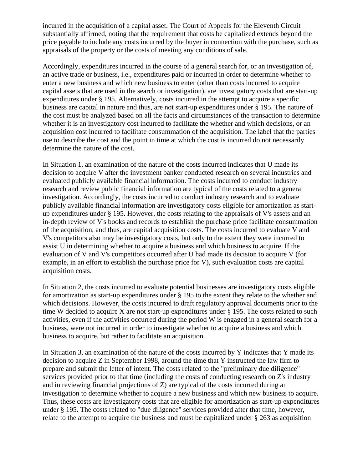incurred in the acquisition of a capital asset. The Court of Appeals for the Eleventh Circuit substantially affirmed, noting that the requirement that costs be capitalized extends beyond the price payable to include any costs incurred by the buyer in connection with the purchase, such as appraisals of the property or the costs of meeting any conditions of sale.

Accordingly, expenditures incurred in the course of a general search for, or an investigation of, an active trade or business, i.e., expenditures paid or incurred in order to determine whether to enter a new business and which new business to enter (other than costs incurred to acquire capital assets that are used in the search or investigation), are investigatory costs that are start-up expenditures under § 195. Alternatively, costs incurred in the attempt to acquire a specific business are capital in nature and thus, are not start-up expenditures under § 195. The nature of the cost must be analyzed based on all the facts and circumstances of the transaction to determine whether it is an investigatory cost incurred to facilitate the whether and which decisions, or an acquisition cost incurred to facilitate consummation of the acquisition. The label that the parties use to describe the cost and the point in time at which the cost is incurred do not necessarily determine the nature of the cost.

In Situation 1, an examination of the nature of the costs incurred indicates that U made its decision to acquire V after the investment banker conducted research on several industries and evaluated publicly available financial information. The costs incurred to conduct industry research and review public financial information are typical of the costs related to a general investigation. Accordingly, the costs incurred to conduct industry research and to evaluate publicly available financial information are investigatory costs eligible for amortization as startup expenditures under § 195. However, the costs relating to the appraisals of V's assets and an in-depth review of V's books and records to establish the purchase price facilitate consummation of the acquisition, and thus, are capital acquisition costs. The costs incurred to evaluate V and V's competitors also may be investigatory costs, but only to the extent they were incurred to assist U in determining whether to acquire a business and which business to acquire. If the evaluation of V and V's competitors occurred after U had made its decision to acquire V (for example, in an effort to establish the purchase price for V), such evaluation costs are capital acquisition costs.

In Situation 2, the costs incurred to evaluate potential businesses are investigatory costs eligible for amortization as start-up expenditures under § 195 to the extent they relate to the whether and which decisions. However, the costs incurred to draft regulatory approval documents prior to the time W decided to acquire X are not start-up expenditures under § 195. The costs related to such activities, even if the activities occurred during the period W is engaged in a general search for a business, were not incurred in order to investigate whether to acquire a business and which business to acquire, but rather to facilitate an acquisition.

In Situation 3, an examination of the nature of the costs incurred by Y indicates that Y made its decision to acquire Z in September 1998, around the time that Y instructed the law firm to prepare and submit the letter of intent. The costs related to the "preliminary due diligence" services provided prior to that time (including the costs of conducting research on Z's industry and in reviewing financial projections of Z) are typical of the costs incurred during an investigation to determine whether to acquire a new business and which new business to acquire. Thus, these costs are investigatory costs that are eligible for amortization as start-up expenditures under § 195. The costs related to "due diligence" services provided after that time, however, relate to the attempt to acquire the business and must be capitalized under § 263 as acquisition